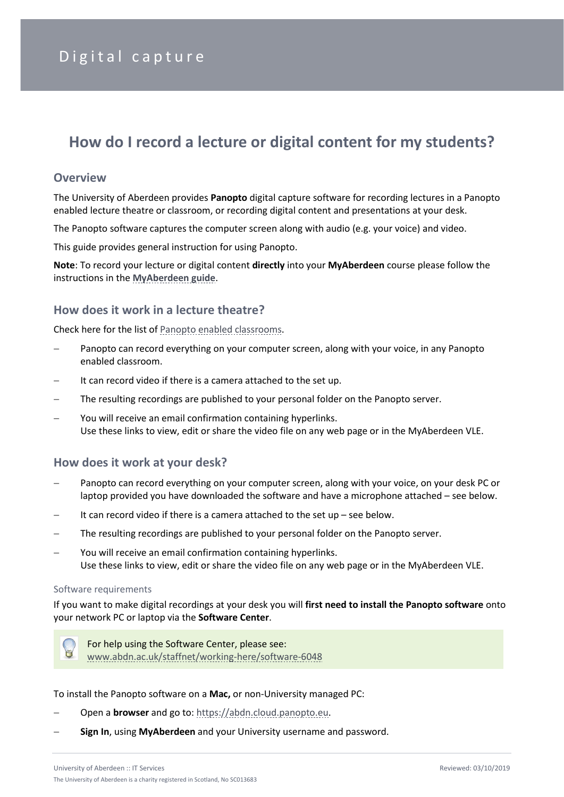# **How do I record a lecture or digital content for my students?**

#### **Overview**

The University of Aberdeen provides **Panopto** digital capture software for recording lectures in a Panopto enabled lecture theatre or classroom, or recording digital content and presentations at your desk.

The Panopto software captures the computer screen along with audio (e.g. your voice) and video.

This guide provides general instruction for using Panopto.

**Note**: To record your lecture or digital content **directly** into your **MyAberdeen** course please follow the instructions in the **[MyAberdeen guide](https://abdn.blackboard.com/bbcswebdav/xid-10764701_1)**.

## **How does it work in a lecture theatre?**

Check here for the list of [Panopto enabled classrooms.](https://www.abdn.ac.uk/it/documents/Panopto%20Enabled%20Classrooms.pdf)

- Panopto can record everything on your computer screen, along with your voice, in any Panopto enabled classroom.
- It can record video if there is a camera attached to the set up.
- The resulting recordings are published to your personal folder on the Panopto server.
- You will receive an email confirmation containing hyperlinks. Use these links to view, edit or share the video file on any web page or in the MyAberdeen VLE.

#### **How does it work at your desk?**

- Panopto can record everything on your computer screen, along with your voice, on your desk PC or laptop provided you have downloaded the software and have a microphone attached – see below.
- It can record video if there is a camera attached to the set up see below.
- The resulting recordings are published to your personal folder on the Panopto server.
- You will receive an email confirmation containing hyperlinks. Use these links to view, edit or share the video file on any web page or in the MyAberdeen VLE.

#### Software requirements

If you want to make digital recordings at your desk you will **first need to install the Panopto software** onto your network PC or laptop via the **Software Center**.



For help using the Software Center, please see: [www.abdn.ac.uk/staffnet/working-here/software-6048](http://www.abdn.ac.uk/staffnet/working-here/software-6048.php)

To install the Panopto software on a **Mac,** or non-University managed PC:

- − Open a **browser** and go to[: https://abdn.cloud.panopto.eu.](https://abdn.cloud.panopto.eu/)
- − **Sign In**, using **MyAberdeen** and your University username and password.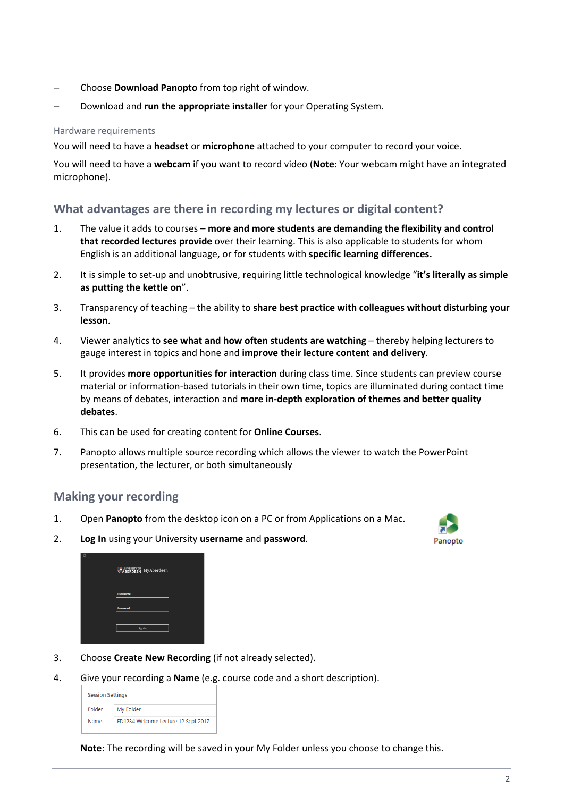- − Choose **Download Panopto** from top right of window.
- − Download and **run the appropriate installer** for your Operating System.

#### Hardware requirements

You will need to have a **headset** or **microphone** attached to your computer to record your voice.

You will need to have a **webcam** if you want to record video (**Note**: Your webcam might have an integrated microphone).

## **What advantages are there in recording my lectures or digital content?**

- 1. The value it adds to courses **more and more students are demanding the flexibility and control that recorded lectures provide** over their learning. This is also applicable to students for whom English is an additional language, or for students with **specific learning differences.**
- 2. It is simple to set-up and unobtrusive, requiring little technological knowledge "**it's literally as simple as putting the kettle on**".
- 3. Transparency of teaching the ability to **share best practice with colleagues without disturbing your lesson**.
- 4. Viewer analytics to **see what and how often students are watching** thereby helping lecturers to gauge interest in topics and hone and **improve their lecture content and delivery**.
- 5. It provides **more opportunities for interaction** during class time. Since students can preview course material or information-based tutorials in their own time, topics are illuminated during contact time by means of debates, interaction and **more in-depth exploration of themes and better quality debates**.
- 6. This can be used for creating content for **Online Courses**.
- 7. Panopto allows multiple source recording which allows the viewer to watch the PowerPoint presentation, the lecturer, or both simultaneously

#### **Making your recording**

- 1. Open **Panopto** from the desktop icon on a PC or from Applications on a Mac.
- Panopto

2. **Log In** using your University **username** and **password**.

| ABERDEEN MyAberdeen |  |
|---------------------|--|
| <b>Username</b>     |  |
| Password            |  |
| Sign In             |  |
|                     |  |

- 3. Choose **Create New Recording** (if not already selected).
- 4. Give your recording a **Name** (e.g. course code and a short description).

| <b>Session Settings</b> |                                     |  |
|-------------------------|-------------------------------------|--|
| Folder                  | My Folder                           |  |
| Name                    | ED1234 Welcome Lecture 12 Sept 2017 |  |

**Note**: The recording will be saved in your My Folder unless you choose to change this.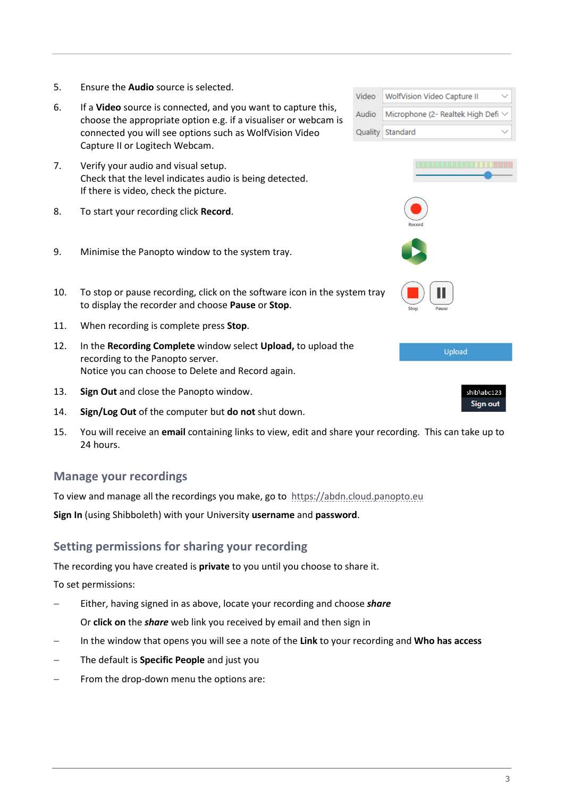- 5. Ensure the **Audio** source is selected.
- 6. If a **Video** source is connected, and you want to capture this, choose the appropriate option e.g. if a visualiser or webcam is connected you will see options such as WolfVision Video Capture II or Logitech Webcam.
- 7. Verify your audio and visual setup. Check that the level indicates audio is being detected. If there is video, check the picture.
- 8. To start your recording click **Record**.
- 9. Minimise the Panopto window to the system tray.
- 10. To stop or pause recording, click on the software icon in the system tray to display the recorder and choose **Pause** or **Stop**.
- 11. When recording is complete press **Stop**.
- 12. In the **Recording Complete** window select **Upload,** to upload the recording to the Panopto server. Notice you can choose to Delete and Record again.
- 13. **Sign Out** and close the Panopto window.
- 14. **Sign/Log Out** of the computer but **do not** shut down.
- 15. You will receive an **email** containing links to view, edit and share your recording. This can take up to 24 hours.

#### **Manage your recordings**

To view and manage all the recordings you make, go to [https://abdn.cloud.panopto.eu](https://abdn.cloud.panopto.eu/)

**Sign In** (using Shibboleth) with your University **username** and **password**.

## **Setting permissions for sharing your recording**

The recording you have created is **private** to you until you choose to share it.

To set permissions:

- − Either, having signed in as above, locate your recording and choose *share* Or **click on** the *share* web link you received by email and then sign in
- − In the window that opens you will see a note of the **Link** to your recording and **Who has access**
- − The default is **Specific People** and just you
- From the drop-down menu the options are:

| Video         | WolfVision Video Capture II             |
|---------------|-----------------------------------------|
| Audio         | Microphone (2- Realtek High Defi $\vee$ |
|               | Quality Standard                        |
|               |                                         |
| <b>Record</b> |                                         |
|               |                                         |



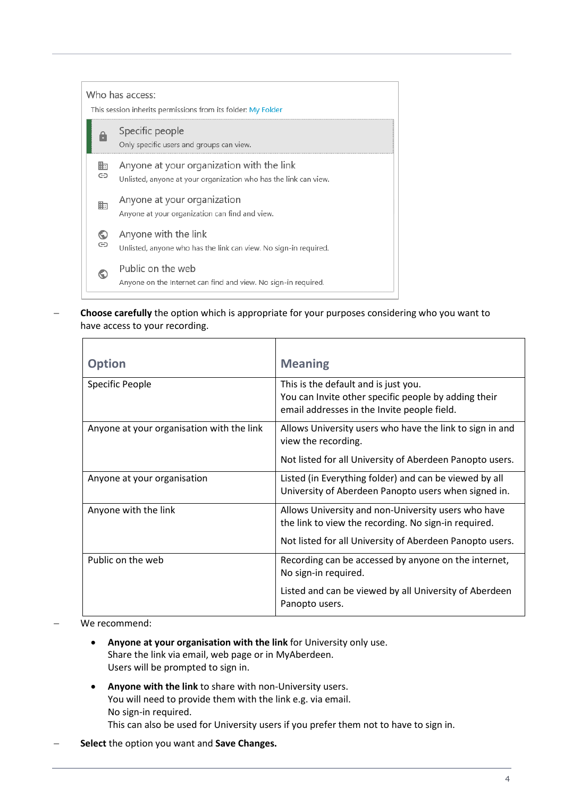|        | Who has access:<br>This session inherits permissions from its folder: My Folder                               |
|--------|---------------------------------------------------------------------------------------------------------------|
|        | Specific people<br>Only specific users and groups can view.                                                   |
| 賍<br>⊝ | Anyone at your organization with the link<br>Unlisted, anyone at your organization who has the link can view. |
| 脚      | Anyone at your organization<br>Anyone at your organization can find and view.                                 |
| O<br>⊝ | Anyone with the link<br>Unlisted, anyone who has the link can view. No sign-in required.                      |
|        | Public on the web<br>Anyone on the Internet can find and view. No sign-in required.                           |

− **Choose carefully** the option which is appropriate for your purposes considering who you want to have access to your recording.

| <b>Option</b>                             | <b>Meaning</b>                                                                                                                                                          |
|-------------------------------------------|-------------------------------------------------------------------------------------------------------------------------------------------------------------------------|
| Specific People                           | This is the default and is just you.<br>You can Invite other specific people by adding their<br>email addresses in the Invite people field.                             |
| Anyone at your organisation with the link | Allows University users who have the link to sign in and<br>view the recording.<br>Not listed for all University of Aberdeen Panopto users.                             |
| Anyone at your organisation               | Listed (in Everything folder) and can be viewed by all<br>University of Aberdeen Panopto users when signed in.                                                          |
| Anyone with the link                      | Allows University and non-University users who have<br>the link to view the recording. No sign-in required.<br>Not listed for all University of Aberdeen Panopto users. |
| Public on the web                         | Recording can be accessed by anyone on the internet,<br>No sign-in required.<br>Listed and can be viewed by all University of Aberdeen                                  |
|                                           | Panopto users.                                                                                                                                                          |

#### We recommend:

- **Anyone at your organisation with the link** for University only use. Share the link via email, web page or in MyAberdeen. Users will be prompted to sign in.
- **Anyone with the link** to share with non-University users. You will need to provide them with the link e.g. via email. No sign-in required.
	- This can also be used for University users if you prefer them not to have to sign in.
- − **Select** the option you want and **Save Changes.**